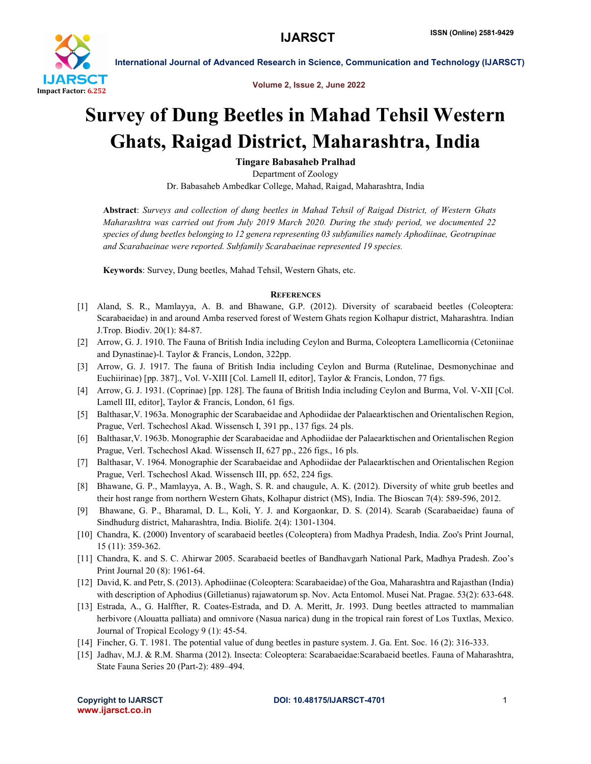

International Journal of Advanced Research in Science, Communication and Technology (IJARSCT)

Volume 2, Issue 2, June 2022

## Survey of Dung Beetles in Mahad Tehsil Western Ghats, Raigad District, Maharashtra, India

Tingare Babasaheb Pralhad

Department of Zoology Dr. Babasaheb Ambedkar College, Mahad, Raigad, Maharashtra, India

Abstract: *Surveys and collection of dung beetles in Mahad Tehsil of Raigad District, of Western Ghats Maharashtra was carried out from July 2019 March 2020. During the study period, we documented 22 species of dung beetles belonging to 12 genera representing 03 subfamilies namely Aphodiinae, Geotrupinae and Scarabaeinae were reported. Subfamily Scarabaeinae represented 19 species.*

Keywords: Survey, Dung beetles, Mahad Tehsil, Western Ghats, etc.

## **REFERENCES**

- [1] Aland, S. R., Mamlayya, A. B. and Bhawane, G.P. (2012). Diversity of scarabaeid beetles (Coleoptera: Scarabaeidae) in and around Amba reserved forest of Western Ghats region Kolhapur district, Maharashtra. Indian J.Trop. Biodiv. 20(1): 84-87.
- [2] Arrow, G. J. 1910. The Fauna of British India including Ceylon and Burma, Coleoptera Lamellicornia (Cetoniinae and Dynastinae)-l. Taylor & Francis, London, 322pp.
- [3] Arrow, G. J. 1917. The fauna of British India including Ceylon and Burma (Rutelinae, Desmonychinae and Euchiirinae) [pp. 387]., Vol. V-XIII [Col. Lamell II, editor], Taylor & Francis, London, 77 figs.
- [4] Arrow, G. J. 1931. (Coprinae) [pp. 128]. The fauna of British India including Ceylon and Burma, Vol. V-XII [Col. Lamell III, editor], Taylor & Francis, London, 61 figs.
- [5] Balthasar,V. 1963a. Monographic der Scarabaeidae and Aphodiidae der Palaearktischen and Orientalischen Region, Prague, Verl. Tschechosl Akad. Wissensch I, 391 pp., 137 figs. 24 pls.
- [6] Balthasar,V. 1963b. Monographie der Scarabaeidae and Aphodiidae der Palaearktischen and Orientalischen Region Prague, Verl. Tschechosl Akad. Wissensch II, 627 pp., 226 figs., 16 pls.
- [7] Balthasar, V. 1964. Monographie der Scarabaeidae and Aphodiidae der Palaearktischen and Orientalischen Region Prague, Verl. Tschechosl Akad. Wissensch III, pp. 652, 224 figs.
- [8] Bhawane, G. P., Mamlayya, A. B., Wagh, S. R. and chaugule, A. K. (2012). Diversity of white grub beetles and their host range from northern Western Ghats, Kolhapur district (MS), India. The Bioscan 7(4): 589-596, 2012.
- [9] Bhawane, G. P., Bharamal, D. L., Koli, Y. J. and Korgaonkar, D. S. (2014). Scarab (Scarabaeidae) fauna of Sindhudurg district, Maharashtra, India. Biolife. 2(4): 1301-1304.
- [10] Chandra, K. (2000) Inventory of scarabaeid beetles (Coleoptera) from Madhya Pradesh, India. Zoo's Print Journal, 15 (11): 359-362.
- [11] Chandra, K. and S. C. Ahirwar 2005. Scarabaeid beetles of Bandhavgarh National Park, Madhya Pradesh. Zoo's Print Journal 20 (8): 1961-64.
- [12] David, K. and Petr, S. (2013). Aphodiinae (Coleoptera: Scarabaeidae) of the Goa, Maharashtra and Rajasthan (India) with description of Aphodius (Gilletianus) rajawatorum sp. Nov. Acta Entomol. Musei Nat. Pragae. 53(2): 633-648.
- [13] Estrada, A., G. Halffter, R. Coates-Estrada, and D. A. Meritt, Jr. 1993. Dung beetles attracted to mammalian herbivore (Alouatta palliata) and omnivore (Nasua narica) dung in the tropical rain forest of Los Tuxtlas, Mexico. Journal of Tropical Ecology 9 (1): 45-54.
- [14] Fincher, G. T. 1981. The potential value of dung beetles in pasture system. J. Ga. Ent. Soc. 16 (2): 316-333.
- [15] Jadhav, M.J. & R.M. Sharma (2012). Insecta: Coleoptera: Scarabaeidae:Scarabaeid beetles. Fauna of Maharashtra, State Fauna Series 20 (Part-2): 489–494.